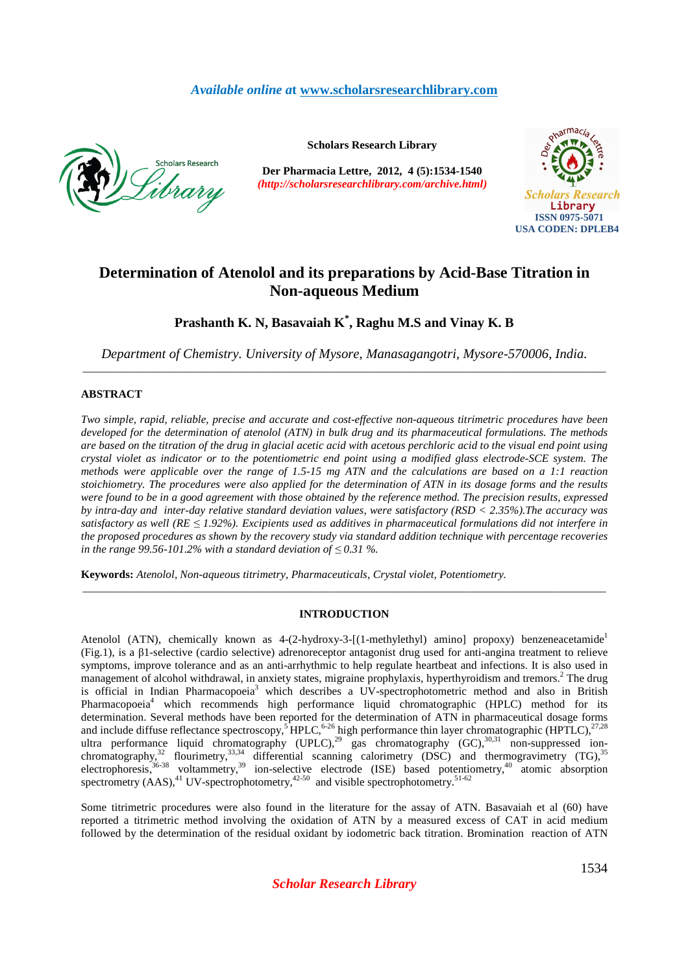## *Available online a***t www.scholarsresearchlibrary.com**



**Scholars Research Library** 

**Der Pharmacia Lettre, 2012, 4 (5):1534-1540**  *(http://scholarsresearchlibrary.com/archive.html)*



# **Determination of Atenolol and its preparations by Acid-Base Titration in Non-aqueous Medium**

**Prashanth K. N, Basavaiah K\* , Raghu M.S and Vinay K. B** 

*Department of Chemistry. University of Mysore, Manasagangotri, Mysore-570006, India.*  \_\_\_\_\_\_\_\_\_\_\_\_\_\_\_\_\_\_\_\_\_\_\_\_\_\_\_\_\_\_\_\_\_\_\_\_\_\_\_\_\_\_\_\_\_\_\_\_\_\_\_\_\_\_\_\_\_\_\_\_\_\_\_\_\_\_\_\_\_\_\_\_\_\_\_\_\_\_\_\_\_\_\_\_\_\_\_\_\_\_\_\_\_

#### **ABSTRACT**

*Two simple, rapid, reliable, precise and accurate and cost-effective non-aqueous titrimetric procedures have been developed for the determination of atenolol (ATN) in bulk drug and its pharmaceutical formulations. The methods are based on the titration of the drug in glacial acetic acid with acetous perchloric acid to the visual end point using crystal violet as indicator or to the potentiometric end point using a modified glass electrode-SCE system. The methods were applicable over the range of 1.5-15 mg ATN and the calculations are based on a 1:1 reaction stoichiometry. The procedures were also applied for the determination of ATN in its dosage forms and the results were found to be in a good agreement with those obtained by the reference method. The precision results, expressed by intra-day and inter-day relative standard deviation values, were satisfactory (RSD < 2.35%).The accuracy was satisfactory as well (RE ≤ 1.92%). Excipients used as additives in pharmaceutical formulations did not interfere in the proposed procedures as shown by the recovery study via standard addition technique with percentage recoveries in the range 99.56-101.2% with a standard deviation of*  $\leq$  *0.31 %.* 

**Keywords:** *Atenolol, Non-aqueous titrimetry, Pharmaceuticals, Crystal violet, Potentiometry.*

#### **INTRODUCTION**

\_\_\_\_\_\_\_\_\_\_\_\_\_\_\_\_\_\_\_\_\_\_\_\_\_\_\_\_\_\_\_\_\_\_\_\_\_\_\_\_\_\_\_\_\_\_\_\_\_\_\_\_\_\_\_\_\_\_\_\_\_\_\_\_\_\_\_\_\_\_\_\_\_\_\_\_\_\_\_\_\_\_\_\_\_\_\_\_\_\_\_\_\_

Atenolol (ATN), chemically known as 4-(2-hydroxy-3-[(1-methylethyl) aminol propoxy) benzeneacetamide<sup>1</sup> (Fig.1), is a β1-selective (cardio selective) adrenoreceptor antagonist drug used for anti-angina treatment to relieve symptoms, improve tolerance and as an anti-arrhythmic to help regulate heartbeat and infections. It is also used in management of alcohol withdrawal, in anxiety states, migraine prophylaxis, hyperthyroidism and tremors.<sup>2</sup> The drug is official in Indian Pharmacopoeia<sup>3</sup> which describes a UV-spectrophotometric method and also in British Pharmacopoeia<sup>4</sup> which recommends high performance liquid chromatographic (HPLC) method for its determination. Several methods have been reported for the determination of ATN in pharmaceutical dosage forms and include diffuse reflectance spectroscopy,<sup>5</sup>HPLC,<sup>6-26</sup> high performance thin layer chromatographic (HPTLC),<sup>27,28</sup> and include diffuse reflectance spectroscopy,<sup>5</sup>HPLC,<sup>6-26</sup> high performance thin layer chromatograph ultra performance liquid chromatography  $(UPLC)$ ,<sup>29</sup> gas chromatography  $(GC)$ ,<sup>30,31</sup> non-suppressed ionchromatography,<sup>32</sup> flourimetry,<sup>33,34</sup> differential scanning calorimetry (DSC) and thermogravimetry (TG),<sup>35</sup> electrophoresis,<sup>36-38</sup> voltammetry,<sup>39</sup> ion-selective electrode (ISE) based potentiometry,<sup>40</sup> atomic absorption spectrometry  $(AAS)$ ,<sup>41</sup> UV-spectrophotometry,<sup>42-50</sup> and visible spectrophotometry.<sup>51-62</sup>

Some titrimetric procedures were also found in the literature for the assay of ATN. Basavaiah et al (60) have reported a titrimetric method involving the oxidation of ATN by a measured excess of CAT in acid medium followed by the determination of the residual oxidant by iodometric back titration. Bromination reaction of ATN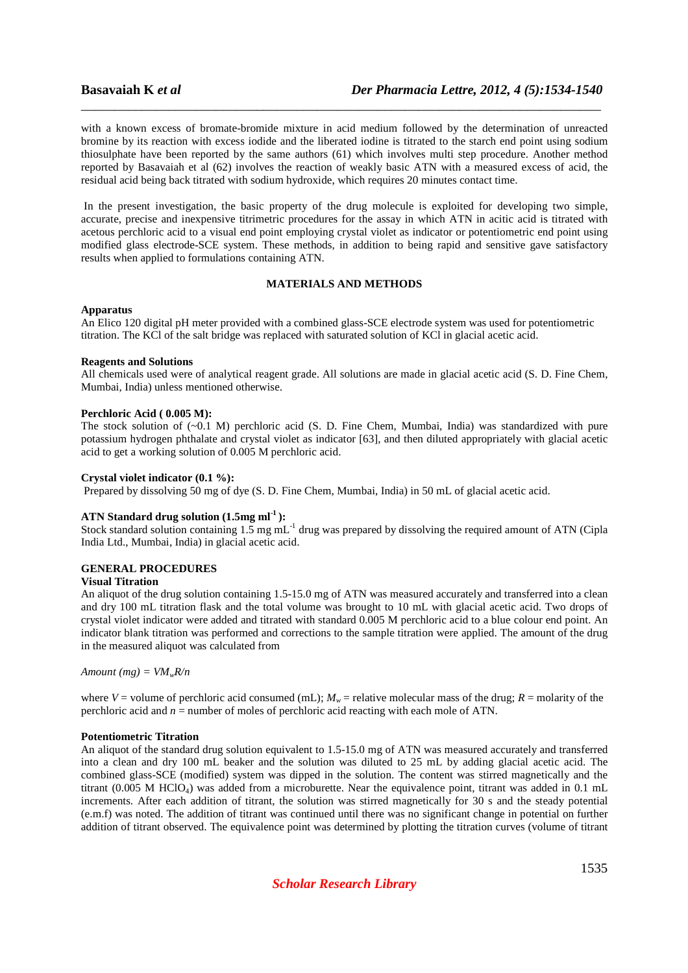with a known excess of bromate-bromide mixture in acid medium followed by the determination of unreacted bromine by its reaction with excess iodide and the liberated iodine is titrated to the starch end point using sodium thiosulphate have been reported by the same authors (61) which involves multi step procedure. Another method reported by Basavaiah et al (62) involves the reaction of weakly basic ATN with a measured excess of acid, the residual acid being back titrated with sodium hydroxide, which requires 20 minutes contact time.

\_\_\_\_\_\_\_\_\_\_\_\_\_\_\_\_\_\_\_\_\_\_\_\_\_\_\_\_\_\_\_\_\_\_\_\_\_\_\_\_\_\_\_\_\_\_\_\_\_\_\_\_\_\_\_\_\_\_\_\_\_\_\_\_\_\_\_\_\_\_\_\_\_\_\_\_\_

 In the present investigation, the basic property of the drug molecule is exploited for developing two simple, accurate, precise and inexpensive titrimetric procedures for the assay in which ATN in acitic acid is titrated with acetous perchloric acid to a visual end point employing crystal violet as indicator or potentiometric end point using modified glass electrode-SCE system. These methods, in addition to being rapid and sensitive gave satisfactory results when applied to formulations containing ATN.

### **MATERIALS AND METHODS**

#### **Apparatus**

An Elico 120 digital pH meter provided with a combined glass-SCE electrode system was used for potentiometric titration. The KCl of the salt bridge was replaced with saturated solution of KCl in glacial acetic acid.

#### **Reagents and Solutions**

All chemicals used were of analytical reagent grade. All solutions are made in glacial acetic acid (S. D. Fine Chem, Mumbai, India) unless mentioned otherwise.

#### **Perchloric Acid ( 0.005 M):**

The stock solution of  $(-0.1 \text{ M})$  perchloric acid (S. D. Fine Chem, Mumbai, India) was standardized with pure potassium hydrogen phthalate and crystal violet as indicator [63], and then diluted appropriately with glacial acetic acid to get a working solution of 0.005 M perchloric acid.

#### **Crystal violet indicator (0.1 %):**

Prepared by dissolving 50 mg of dye (S. D. Fine Chem, Mumbai, India) in 50 mL of glacial acetic acid.

#### **ATN Standard drug solution (1.5mg ml-1 ):**

Stock standard solution containing 1.5 mg mL-1 drug was prepared by dissolving the required amount of ATN (Cipla India Ltd., Mumbai, India) in glacial acetic acid.

#### **GENERAL PROCEDURES**

#### **Visual Titration**

An aliquot of the drug solution containing 1.5-15.0 mg of ATN was measured accurately and transferred into a clean and dry 100 mL titration flask and the total volume was brought to 10 mL with glacial acetic acid. Two drops of crystal violet indicator were added and titrated with standard 0.005 M perchloric acid to a blue colour end point. An indicator blank titration was performed and corrections to the sample titration were applied. The amount of the drug in the measured aliquot was calculated from

*Amount*  $(mg) = VM_wR/n$ 

where *V* = volume of perchloric acid consumed (mL);  $M_w$  = relative molecular mass of the drug;  $R$  = molarity of the perchloric acid and *n* = number of moles of perchloric acid reacting with each mole of ATN.

#### **Potentiometric Titration**

An aliquot of the standard drug solution equivalent to 1.5-15.0 mg of ATN was measured accurately and transferred into a clean and dry 100 mL beaker and the solution was diluted to 25 mL by adding glacial acetic acid. The combined glass-SCE (modified) system was dipped in the solution. The content was stirred magnetically and the titrant  $(0.005 \text{ M } HClO<sub>4</sub>)$  was added from a microburette. Near the equivalence point, titrant was added in 0.1 mL increments. After each addition of titrant, the solution was stirred magnetically for 30 s and the steady potential (e.m.f) was noted. The addition of titrant was continued until there was no significant change in potential on further addition of titrant observed. The equivalence point was determined by plotting the titration curves (volume of titrant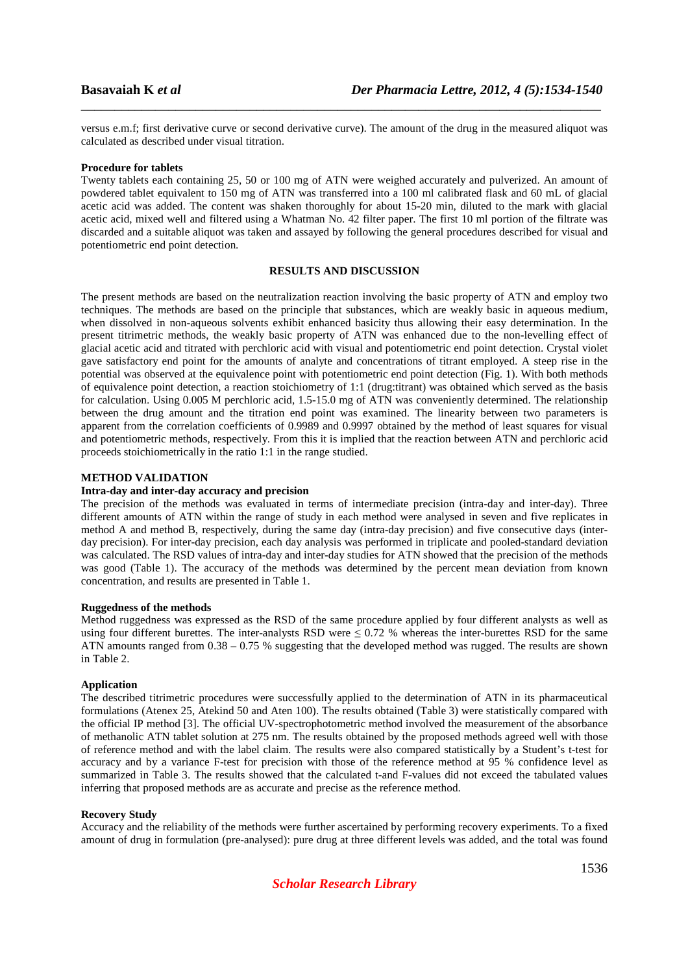versus e.m.f; first derivative curve or second derivative curve). The amount of the drug in the measured aliquot was calculated as described under visual titration.

\_\_\_\_\_\_\_\_\_\_\_\_\_\_\_\_\_\_\_\_\_\_\_\_\_\_\_\_\_\_\_\_\_\_\_\_\_\_\_\_\_\_\_\_\_\_\_\_\_\_\_\_\_\_\_\_\_\_\_\_\_\_\_\_\_\_\_\_\_\_\_\_\_\_\_\_\_

#### **Procedure for tablets**

Twenty tablets each containing 25, 50 or 100 mg of ATN were weighed accurately and pulverized. An amount of powdered tablet equivalent to 150 mg of ATN was transferred into a 100 ml calibrated flask and 60 mL of glacial acetic acid was added. The content was shaken thoroughly for about 15-20 min, diluted to the mark with glacial acetic acid, mixed well and filtered using a Whatman No. 42 filter paper. The first 10 ml portion of the filtrate was discarded and a suitable aliquot was taken and assayed by following the general procedures described for visual and potentiometric end point detection.

#### **RESULTS AND DISCUSSION**

The present methods are based on the neutralization reaction involving the basic property of ATN and employ two techniques. The methods are based on the principle that substances, which are weakly basic in aqueous medium, when dissolved in non-aqueous solvents exhibit enhanced basicity thus allowing their easy determination. In the present titrimetric methods, the weakly basic property of ATN was enhanced due to the non-levelling effect of glacial acetic acid and titrated with perchloric acid with visual and potentiometric end point detection. Crystal violet gave satisfactory end point for the amounts of analyte and concentrations of titrant employed. A steep rise in the potential was observed at the equivalence point with potentiometric end point detection (Fig. 1). With both methods of equivalence point detection, a reaction stoichiometry of 1:1 (drug:titrant) was obtained which served as the basis for calculation. Using 0.005 M perchloric acid, 1.5-15.0 mg of ATN was conveniently determined. The relationship between the drug amount and the titration end point was examined. The linearity between two parameters is apparent from the correlation coefficients of 0.9989 and 0.9997 obtained by the method of least squares for visual and potentiometric methods, respectively. From this it is implied that the reaction between ATN and perchloric acid proceeds stoichiometrically in the ratio 1:1 in the range studied.

#### **METHOD VALIDATION**

#### **Intra-day and inter-day accuracy and precision**

The precision of the methods was evaluated in terms of intermediate precision (intra-day and inter-day). Three different amounts of ATN within the range of study in each method were analysed in seven and five replicates in method A and method B, respectively, during the same day (intra-day precision) and five consecutive days (interday precision). For inter-day precision, each day analysis was performed in triplicate and pooled-standard deviation was calculated. The RSD values of intra-day and inter-day studies for ATN showed that the precision of the methods was good (Table 1). The accuracy of the methods was determined by the percent mean deviation from known concentration, and results are presented in Table 1.

#### **Ruggedness of the methods**

Method ruggedness was expressed as the RSD of the same procedure applied by four different analysts as well as using four different burettes. The inter-analysts RSD were  $\leq$  0.72 % whereas the inter-burettes RSD for the same ATN amounts ranged from 0.38 – 0.75 % suggesting that the developed method was rugged. The results are shown in Table 2.

#### **Application**

The described titrimetric procedures were successfully applied to the determination of ATN in its pharmaceutical formulations (Atenex 25, Atekind 50 and Aten 100). The results obtained (Table 3) were statistically compared with the official IP method [3]. The official UV-spectrophotometric method involved the measurement of the absorbance of methanolic ATN tablet solution at 275 nm. The results obtained by the proposed methods agreed well with those of reference method and with the label claim. The results were also compared statistically by a Student's t-test for accuracy and by a variance F-test for precision with those of the reference method at 95 % confidence level as summarized in Table 3. The results showed that the calculated t-and F-values did not exceed the tabulated values inferring that proposed methods are as accurate and precise as the reference method.

#### **Recovery Study**

Accuracy and the reliability of the methods were further ascertained by performing recovery experiments. To a fixed amount of drug in formulation (pre-analysed): pure drug at three different levels was added, and the total was found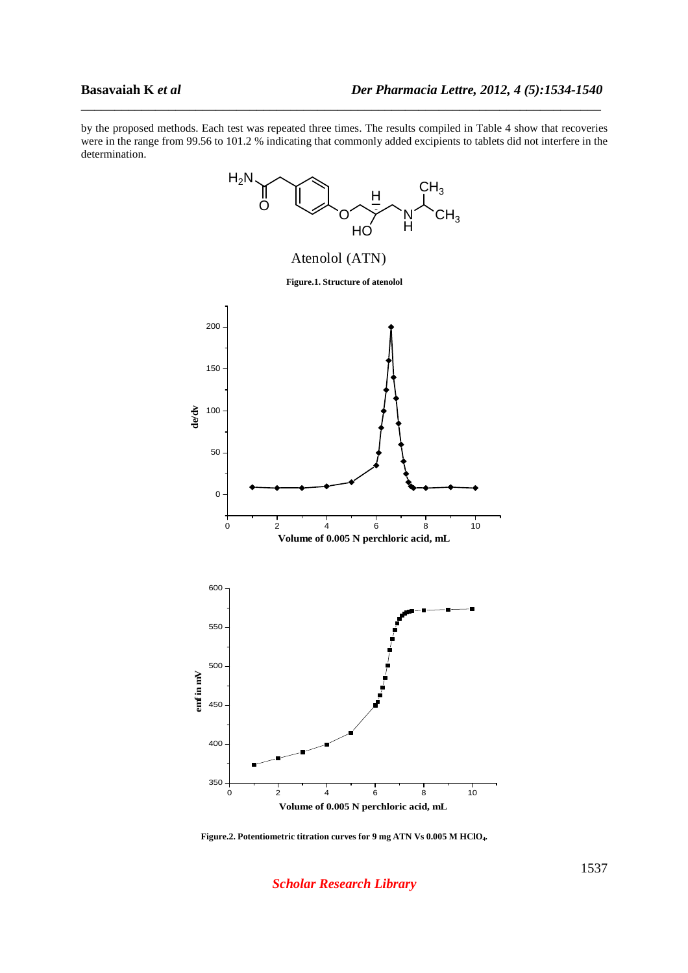by the proposed methods. Each test was repeated three times. The results compiled in Table 4 show that recoveries were in the range from 99.56 to 101.2 % indicating that commonly added excipients to tablets did not interfere in the determination.

\_\_\_\_\_\_\_\_\_\_\_\_\_\_\_\_\_\_\_\_\_\_\_\_\_\_\_\_\_\_\_\_\_\_\_\_\_\_\_\_\_\_\_\_\_\_\_\_\_\_\_\_\_\_\_\_\_\_\_\_\_\_\_\_\_\_\_\_\_\_\_\_\_\_\_\_\_



**Figure.2. Potentiometric titration curves for 9 mg ATN Vs 0.005 M HClO4***.*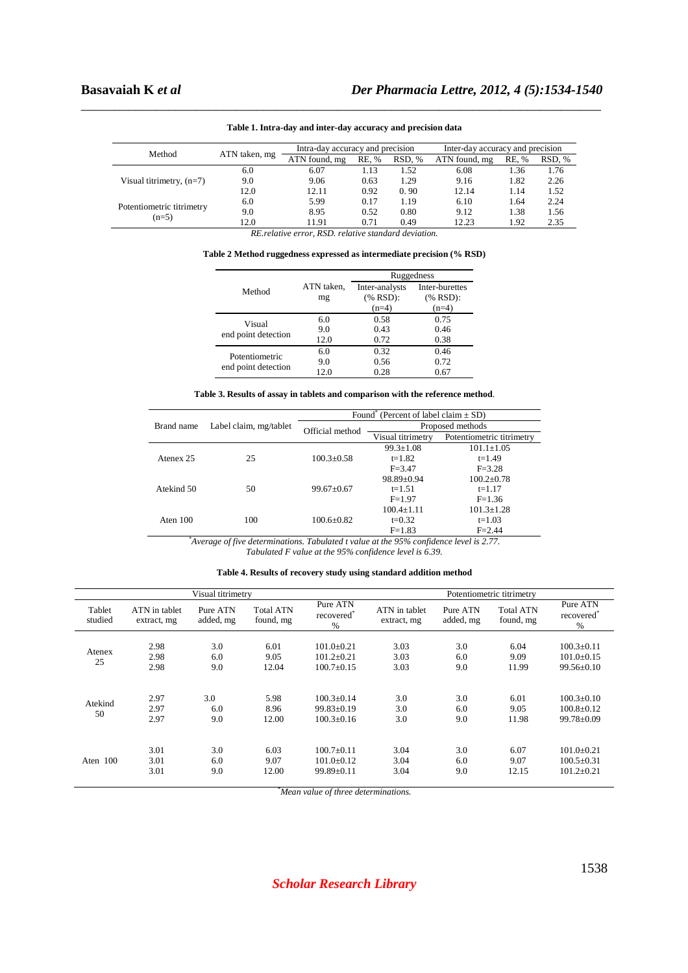| Method                     |               | Intra-day accuracy and precision |       |        | Inter-day accuracy and precision |       |        |
|----------------------------|---------------|----------------------------------|-------|--------|----------------------------------|-------|--------|
|                            | ATN taken, mg | ATN found, mg                    | RE. % | RSD, % | ATN found, mg                    | RE, % | RSD, % |
|                            | 6.0           | 6.07                             | 1.13  | 1.52   | 6.08                             | 1.36  | 1.76   |
| Visual titrimetry, $(n=7)$ | 9.0           | 9.06                             | 0.63  | 1.29   | 9.16                             | 1.82  | 2.26   |
|                            | 12.0          | 12.11                            | 0.92  | 0.90   | 12.14                            | 1.14  | 1.52   |
| Potentiometric titrimetry  | 6.0           | 5.99                             | 0.17  | 1.19   | 6.10                             | 1.64  | 2.24   |
|                            | 9.0           | 8.95                             | 0.52  | 0.80   | 9.12                             | 1.38  | 1.56   |
| $(n=5)$                    | 12.0          | 11.91                            | 0.71  | 0.49   | 12.23                            | 1.92  | 2.35   |

\_\_\_\_\_\_\_\_\_\_\_\_\_\_\_\_\_\_\_\_\_\_\_\_\_\_\_\_\_\_\_\_\_\_\_\_\_\_\_\_\_\_\_\_\_\_\_\_\_\_\_\_\_\_\_\_\_\_\_\_\_\_\_\_\_\_\_\_\_\_\_\_\_\_\_\_\_ **Table 1. Intra-day and inter-day accuracy and precision data** 

*RE.relative error, RSD. relative standard deviation.* 

**Table 2 Method ruggedness expressed as intermediate precision (% RSD)** 

|                     |            | Ruggedness          |                                       |  |  |
|---------------------|------------|---------------------|---------------------------------------|--|--|
| Method              | ATN taken. | Inter-analysts      | Inter-burettes<br>$(% \mathbf{RSD}$ : |  |  |
|                     | mg         | $(% \mathbf{RSD}$ : |                                       |  |  |
|                     |            | $(n=4)$             | $(n=4)$                               |  |  |
| Visual              | 6.0        | 0.58                | 0.75                                  |  |  |
|                     | 9.0        | 0.43                | 0.46                                  |  |  |
| end point detection | 12.0       | 0.72                | 0.38                                  |  |  |
| Potentiometric      | 6.0        | 0.32                | 0.46                                  |  |  |
|                     | 9.0        | 0.56                | 0.72                                  |  |  |
| end point detection | 12.0       | 0.28                | 0.67                                  |  |  |

**Table 3. Results of assay in tablets and comparison with the reference method**.

| Proposed methods<br>Label claim, mg/tablet<br>Brand name          |  |  |  |  |
|-------------------------------------------------------------------|--|--|--|--|
| Official method<br>Visual titrimetry<br>Potentiometric titrimetry |  |  |  |  |
| $99.3 \pm 1.08$<br>$101.1 \pm 1.05$                               |  |  |  |  |
| 25<br>$100.3 \pm 0.58$<br>$t=1.82$<br>$t=1.49$<br>Atenex 25       |  |  |  |  |
| $F = 3.47$<br>$F = 3.28$                                          |  |  |  |  |
| $98.89 \pm 0.94$<br>$100.2 \pm 0.78$                              |  |  |  |  |
| Atekind 50<br>50<br>$t=1.51$<br>$99.67 \pm 0.67$<br>$t=1.17$      |  |  |  |  |
| $F=1.97$<br>$F=1.36$                                              |  |  |  |  |
| $100.4 \pm 1.11$<br>$101.3 \pm 1.28$                              |  |  |  |  |
| 100<br>$100.6 \pm 0.82$<br>Aten 100<br>$t=0.32$<br>$t=1.03$       |  |  |  |  |
| $F=1.83$<br>$F = 2.44$<br>寒 .                                     |  |  |  |  |

*\*Average of five determinations. Tabulated t value at the 95% confidence level is 2.77. Tabulated F value at the 95% confidence level is 6.39.* 

#### **Table 4. Results of recovery study using standard addition method**

| Visual titrimetry |                              |                       |                               | Potentiometric titrimetry                              |                              |                       |                               |                                                          |
|-------------------|------------------------------|-----------------------|-------------------------------|--------------------------------------------------------|------------------------------|-----------------------|-------------------------------|----------------------------------------------------------|
| Tablet<br>studied | ATN in tablet<br>extract, mg | Pure ATN<br>added, mg | <b>Total ATN</b><br>found, mg | Pure ATN<br>recovered<br>$\%$                          | ATN in tablet<br>extract, mg | Pure ATN<br>added, mg | <b>Total ATN</b><br>found, mg | Pure ATN<br>recovered<br>$\%$                            |
| Atenex<br>25      | 2.98<br>2.98<br>2.98         | 3.0<br>6.0<br>9.0     | 6.01<br>9.05<br>12.04         | $101.0 + 0.21$<br>$101.2 + 0.21$<br>$100.7 + 0.15$     | 3.03<br>3.03<br>3.03         | 3.0<br>6.0<br>9.0     | 6.04<br>9.09<br>11.99         | $100.3 + 0.11$<br>$101.0 \pm 0.15$<br>$99.56 \pm 0.10$   |
| Atekind<br>50     | 2.97<br>2.97<br>2.97         | 3.0<br>6.0<br>9.0     | 5.98<br>8.96<br>12.00         | $100.3 + 0.14$<br>$99.83 + 0.19$<br>$100.3 \pm 0.16$   | 3.0<br>3.0<br>3.0            | 3.0<br>6.0<br>9.0     | 6.01<br>9.05<br>11.98         | $100.3 \pm 0.10$<br>$100.8 + 0.12$<br>$99.78 \pm 0.09$   |
| Aten 100          | 3.01<br>3.01<br>3.01         | 3.0<br>6.0<br>9.0     | 6.03<br>9.07<br>12.00         | $100.7 + 0.11$<br>$101.0 \pm 0.12$<br>$99.89 \pm 0.11$ | 3.04<br>3.04<br>3.04         | 3.0<br>6.0<br>9.0     | 6.07<br>9.07<br>12.15         | $101.0 \pm 0.21$<br>$100.5 \pm 0.31$<br>$101.2 \pm 0.21$ |

*\*Mean value of three determinations.*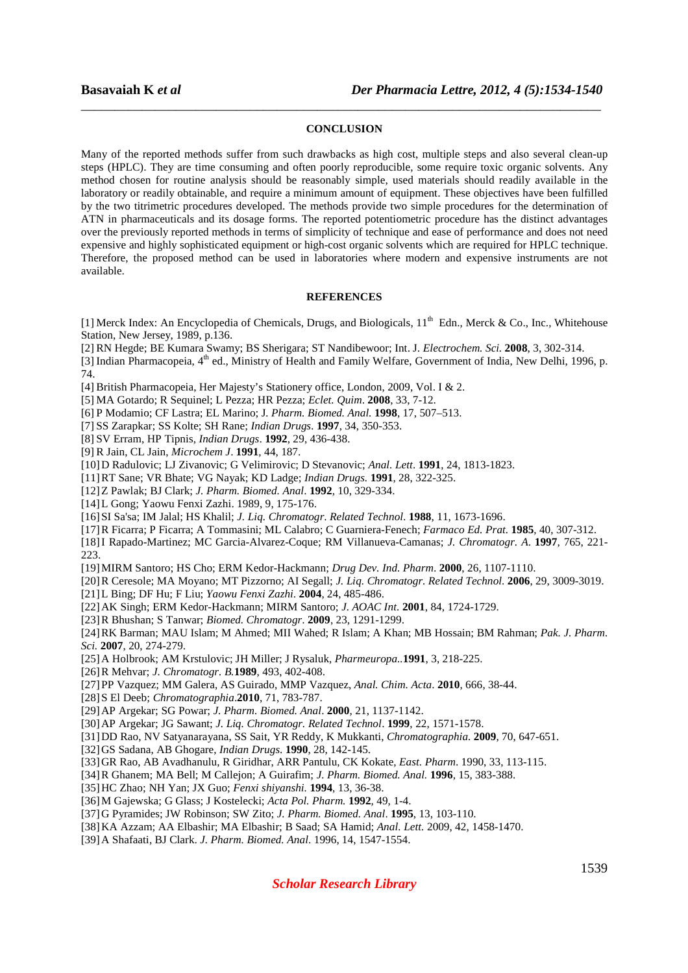#### **CONCLUSION**

\_\_\_\_\_\_\_\_\_\_\_\_\_\_\_\_\_\_\_\_\_\_\_\_\_\_\_\_\_\_\_\_\_\_\_\_\_\_\_\_\_\_\_\_\_\_\_\_\_\_\_\_\_\_\_\_\_\_\_\_\_\_\_\_\_\_\_\_\_\_\_\_\_\_\_\_\_

Many of the reported methods suffer from such drawbacks as high cost, multiple steps and also several clean-up steps (HPLC). They are time consuming and often poorly reproducible, some require toxic organic solvents. Any method chosen for routine analysis should be reasonably simple, used materials should readily available in the laboratory or readily obtainable, and require a minimum amount of equipment. These objectives have been fulfilled by the two titrimetric procedures developed. The methods provide two simple procedures for the determination of ATN in pharmaceuticals and its dosage forms. The reported potentiometric procedure has the distinct advantages over the previously reported methods in terms of simplicity of technique and ease of performance and does not need expensive and highly sophisticated equipment or high-cost organic solvents which are required for HPLC technique. Therefore, the proposed method can be used in laboratories where modern and expensive instruments are not available.

#### **REFERENCES**

[1] Merck Index: An Encyclopedia of Chemicals, Drugs, and Biologicals, 11<sup>th</sup> Edn., Merck & Co., Inc., Whitehouse Station, New Jersey, 1989, p.136.

[2] RN Hegde; BE Kumara Swamy; BS Sherigara; ST Nandibewoor; Int. J*. Electrochem. Sci.* **2008**, 3, 302-314.

[3] Indian Pharmacopeia, 4<sup>th</sup> ed., Ministry of Health and Family Welfare, Government of India, New Delhi, 1996, p. 74.

[4] British Pharmacopeia, Her Majesty's Stationery office, London, 2009, Vol. I & 2.

[5] MA Gotardo; R Sequinel; L Pezza; HR Pezza; *Eclet. Quim*. **2008**, 33, 7-12.

[6] P Modamio; CF Lastra; EL Marino; J*. Pharm. Biomed. Anal.* **1998**, 17, 507–513.

[7] SS Zarapkar; SS Kolte; SH Rane; *Indian Drugs.* **1997**, 34, 350-353.

[8] SV Erram, HP Tipnis, *Indian Drugs*. **1992**, 29, 436-438.

[9] R Jain, CL Jain, *Microchem J*. **1991**, 44, 187.

[10]D Radulovic; LJ Zivanovic; G Velimirovic; D Stevanovic; *Anal. Lett*. **1991**, 24, 1813-1823.

[11]RT Sane; VR Bhate; VG Nayak; KD Ladge; *Indian Drugs.* **1991**, 28, 322-325.

[12]Z Pawlak; BJ Clark; *J. Pharm. Biomed. Anal*. **1992**, 10, 329-334.

[14]L Gong; Yaowu Fenxi Zazhi. 1989, 9, 175-176.

[16]SI Sa'sa; IM Jalal; HS Khalil; *J. Liq. Chromatogr*. *Related Technol*. **1988**, 11, 1673-1696.

[17]R Ficarra; P Ficarra; A Tommasini; ML Calabro; C Guarniera-Fenech; *Farmaco Ed. Prat.* **1985**, 40, 307-312.

[18]I Rapado-Martinez; MC Garcia-Alvarez-Coque; RM Villanueva-Camanas; *J. Chromatogr. A*. **1997**, 765, 221- 223.

[19]MIRM Santoro; HS Cho; ERM Kedor-Hackmann; *Drug Dev. Ind. Pharm*. **2000**, 26, 1107-1110.

- [20]R Ceresole; MA Moyano; MT Pizzorno; AI Segall; *J. Liq. Chromatogr. Related Technol*. **2006**, 29, 3009-3019.
- [21]L Bing; DF Hu; F Liu; *Yaowu Fenxi Zazhi*. **2004**, 24, 485-486.
- [22]AK Singh; ERM Kedor-Hackmann; MIRM Santoro; *J. AOAC Int.* **2001**, 84, 1724-1729.
- [23]R Bhushan; S Tanwar; *Biomed. Chromatogr*. **2009**, 23, 1291-1299.

[24]RK Barman; MAU Islam; M Ahmed; MII Wahed; R Islam; A Khan; MB Hossain; BM Rahman; *Pak. J. Pharm. Sci.* **2007**, 20, 274-279.

[25]A Holbrook; AM Krstulovic; JH Miller; J Rysaluk, *Pharmeuropa..***1991**, 3, 218-225.

[26]R Mehvar; *J. Chromatogr. B.***1989**, 493, 402-408.

[27]PP Vazquez; MM Galera, AS Guirado, MMP Vazquez, *Anal. Chim. Acta*. **2010**, 666, 38-44.

[28]S El Deeb; *Chromatographia*.**2010**, 71, 783-787.

[29]AP Argekar; SG Powar; *J. Pharm. Biomed. Anal*. **2000**, 21, 1137-1142.

[30]AP Argekar; JG Sawant; *J. Liq. Chromatogr. Related Technol*. **1999**, 22, 1571-1578.

[31]DD Rao, NV Satyanarayana, SS Sait, YR Reddy, K Mukkanti, *Chromatographia.* **2009**, 70, 647-651.

[32]GS Sadana, AB Ghogare, *Indian Drugs*. **1990**, 28, 142-145.

[33]GR Rao, AB Avadhanulu, R Giridhar, ARR Pantulu, CK Kokate, *East. Pharm*. 1990, 33, 113-115.

[34]R Ghanem; MA Bell; M Callejon; A Guirafim; *J. Pharm. Biomed. Anal.* **1996**, 15, 383-388.

[35]HC Zhao; NH Yan; JX Guo; *Fenxi shiyanshi.* **1994**, 13, 36-38.

[36]M Gajewska; G Glass; J Kostelecki; *Acta Pol. Pharm.* **1992**, 49, 1-4.

[37]G Pyramides; JW Robinson; SW Zito; *J. Pharm. Biomed. Anal*. **1995**, 13, 103-110.

[38]KA Azzam; AA Elbashir; MA Elbashir; B Saad; SA Hamid; *Anal. Lett.* 2009, 42, 1458-1470.

[39]A Shafaati, BJ Clark. *J. Pharm. Biomed. Anal*. 1996, 14, 1547-1554.